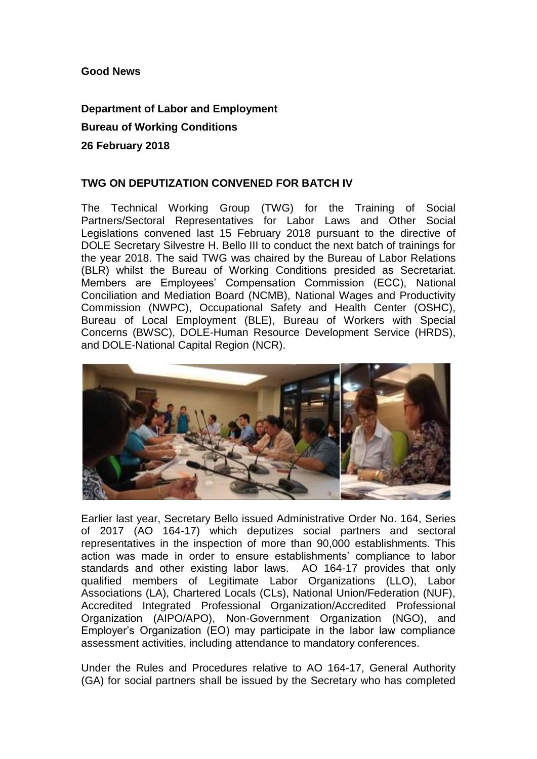### **Good News**

# **Department of Labor and Employment**

### **Bureau of Working Conditions**

#### **26 February 2018**

## **TWG ON DEPUTIZATION CONVENED FOR BATCH IV**

The Technical Working Group (TWG) for the Training of Social Partners/Sectoral Representatives for Labor Laws and Other Social Legislations convened last 15 February 2018 pursuant to the directive of DOLE Secretary Silvestre H. Bello III to conduct the next batch of trainings for the year 2018. The said TWG was chaired by the Bureau of Labor Relations (BLR) whilst the Bureau of Working Conditions presided as Secretariat. Members are Employees' Compensation Commission (ECC), National Conciliation and Mediation Board (NCMB), National Wages and Productivity Commission (NWPC), Occupational Safety and Health Center (OSHC), Bureau of Local Employment (BLE), Bureau of Workers with Special Concerns (BWSC), DOLE-Human Resource Development Service (HRDS), and DOLE-National Capital Region (NCR).



Earlier last year, Secretary Bello issued Administrative Order No. 164, Series of 2017 (AO 164-17) which deputizes social partners and sectoral representatives in the inspection of more than 90,000 establishments. This action was made in order to ensure establishments' compliance to labor standards and other existing labor laws. AO 164-17 provides that only qualified members of Legitimate Labor Organizations (LLO), Labor Associations (LA), Chartered Locals (CLs), National Union/Federation (NUF), Accredited Integrated Professional Organization/Accredited Professional Organization (AIPO/APO), Non-Government Organization (NGO), and Employer's Organization (EO) may participate in the labor law compliance assessment activities, including attendance to mandatory conferences.

Under the Rules and Procedures relative to AO 164-17, General Authority (GA) for social partners shall be issued by the Secretary who has completed